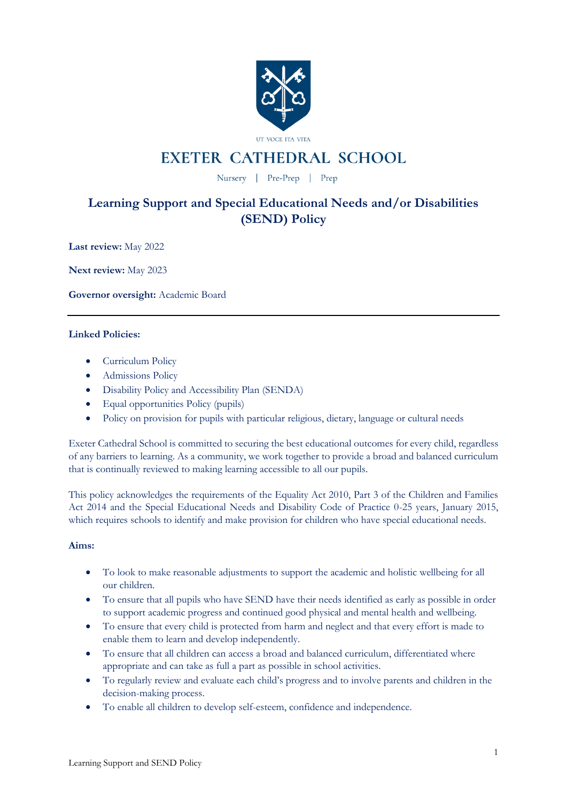

# **EXETER CATHEDRAL SCHOOL**

Nursery | Pre-Prep | Prep

# **Learning Support and Special Educational Needs and/or Disabilities (SEND) Policy**

**Last review:** May 2022

**Next review:** May 2023

**Governor oversight:** Academic Board

# **Linked Policies:**

- Curriculum Policy
- Admissions Policy
- Disability Policy and Accessibility Plan (SENDA)
- Equal opportunities Policy (pupils)
- Policy on provision for pupils with particular religious, dietary, language or cultural needs

Exeter Cathedral School is committed to securing the best educational outcomes for every child, regardless of any barriers to learning. As a community, we work together to provide a broad and balanced curriculum that is continually reviewed to making learning accessible to all our pupils.

This policy acknowledges the requirements of the Equality Act 2010, Part 3 of the Children and Families Act 2014 and the Special Educational Needs and Disability Code of Practice 0-25 years, January 2015, which requires schools to identify and make provision for children who have special educational needs.

### **Aims:**

- To look to make reasonable adjustments to support the academic and holistic wellbeing for all our children.
- To ensure that all pupils who have SEND have their needs identified as early as possible in order to support academic progress and continued good physical and mental health and wellbeing.
- To ensure that every child is protected from harm and neglect and that every effort is made to enable them to learn and develop independently.
- To ensure that all children can access a broad and balanced curriculum, differentiated where appropriate and can take as full a part as possible in school activities.
- To regularly review and evaluate each child's progress and to involve parents and children in the decision-making process.
- To enable all children to develop self-esteem, confidence and independence.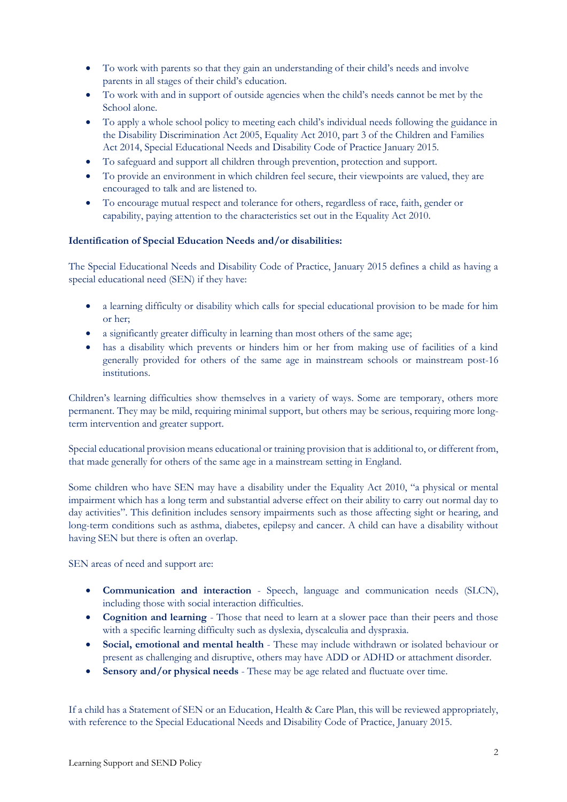- To work with parents so that they gain an understanding of their child's needs and involve parents in all stages of their child's education.
- To work with and in support of outside agencies when the child's needs cannot be met by the School alone.
- To apply a whole school policy to meeting each child's individual needs following the guidance in the Disability Discrimination Act 2005, Equality Act 2010, part 3 of the Children and Families Act 2014, Special Educational Needs and Disability Code of Practice January 2015.
- To safeguard and support all children through prevention, protection and support.
- To provide an environment in which children feel secure, their viewpoints are valued, they are encouraged to talk and are listened to.
- To encourage mutual respect and tolerance for others, regardless of race, faith, gender or capability, paying attention to the characteristics set out in the Equality Act 2010.

### **Identification of Special Education Needs and/or disabilities:**

The Special Educational Needs and Disability Code of Practice, January 2015 defines a child as having a special educational need (SEN) if they have:

- a learning difficulty or disability which calls for special educational provision to be made for him or her;
- a significantly greater difficulty in learning than most others of the same age;
- has a disability which prevents or hinders him or her from making use of facilities of a kind generally provided for others of the same age in mainstream schools or mainstream post-16 institutions.

Children's learning difficulties show themselves in a variety of ways. Some are temporary, others more permanent. They may be mild, requiring minimal support, but others may be serious, requiring more longterm intervention and greater support.

Special educational provision means educational or training provision that is additional to, or different from, that made generally for others of the same age in a mainstream setting in England.

Some children who have SEN may have a disability under the Equality Act 2010, "a physical or mental impairment which has a long term and substantial adverse effect on their ability to carry out normal day to day activities". This definition includes sensory impairments such as those affecting sight or hearing, and long-term conditions such as asthma, diabetes, epilepsy and cancer. A child can have a disability without having SEN but there is often an overlap.

SEN areas of need and support are:

- **Communication and interaction** Speech, language and communication needs (SLCN), including those with social interaction difficulties.
- **Cognition and learning** Those that need to learn at a slower pace than their peers and those with a specific learning difficulty such as dyslexia, dyscalculia and dyspraxia.
- **Social, emotional and mental health** These may include withdrawn or isolated behaviour or present as challenging and disruptive, others may have ADD or ADHD or attachment disorder.
- **Sensory and/or physical needs** These may be age related and fluctuate over time.

If a child has a Statement of SEN or an Education, Health & Care Plan, this will be reviewed appropriately, with reference to the Special Educational Needs and Disability Code of Practice, January 2015.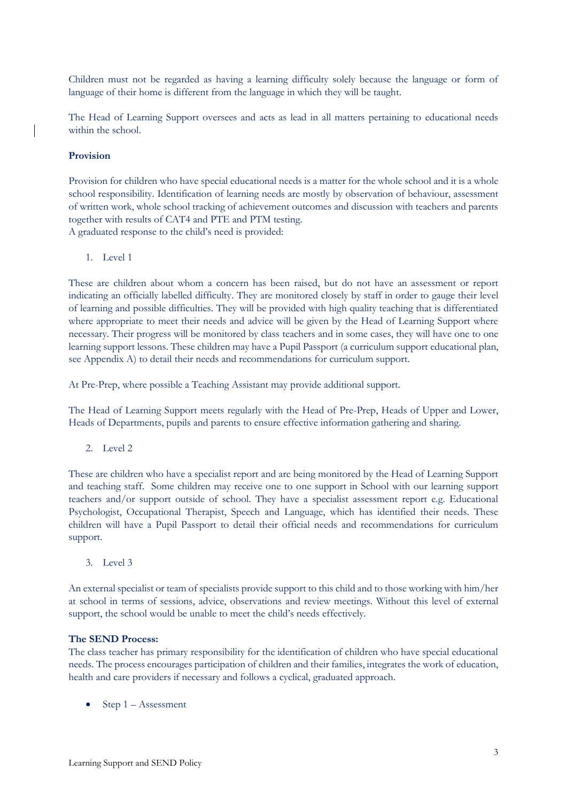Children must not be regarded as having a learning difficulty solely because the language or form of language of their home is different from the language in which they will be taught.

The Head of Learning Support oversees and acts as lead in all matters pertaining to educational needs within the school.

### **Provision**

Provision for children who have special educational needs is a matter for the whole school and it is a whole school responsibility. Identification of learning needs are mostly by observation of behaviour, assessment of written work, whole school tracking of achievement outcomes and discussion with teachers and parents together with results of CAT4 and PTE and PTM testing. A graduated response to the child's need is provided:

1. Level 1

These are children about whom a concern has been raised, but do not have an assessment or report indicating an officially labelled difficulty. They are monitored closely by staff in order to gauge their level of learning and possible difficulties. They will be provided with high quality teaching that is differentiated where appropriate to meet their needs and advice will be given by the Head of Learning Support where necessary. Their progress will be monitored by class teachers and in some cases, they will have one to one learning support lessons. These children may have a Pupil Passport (a curriculum support educational plan, see Appendix A) to detail their needs and recommendations for curriculum support.

At Pre-Prep, where possible a Teaching Assistant may provide additional support.

The Head of Learning Support meets regularly with the Head of Pre-Prep, Heads of Upper and Lower, Heads of Departments, pupils and parents to ensure effective information gathering and sharing.

2. Level 2

These are children who have a specialist report and are being monitored by the Head of Learning Support and teaching staff. Some children may receive one to one support in School with our learning support teachers and/or support outside of school. They have a specialist assessment report e.g. Educational Psychologist, Occupational Therapist, Speech and Language, which has identified their needs. These children will have a Pupil Passport to detail their official needs and recommendations for curriculum support.

3. Level 3

An external specialist or team of specialists provide support to this child and to those working with him/her at school in terms of sessions, advice, observations and review meetings. Without this level of external support, the school would be unable to meet the child's needs effectively.

#### **The SEND Process:**

The class teacher has primary responsibility for the identification of children who have special educational needs. The process encourages participation of children and their families, integrates the work of education, health and care providers if necessary and follows a cyclical, graduated approach.

• Step 1 – Assessment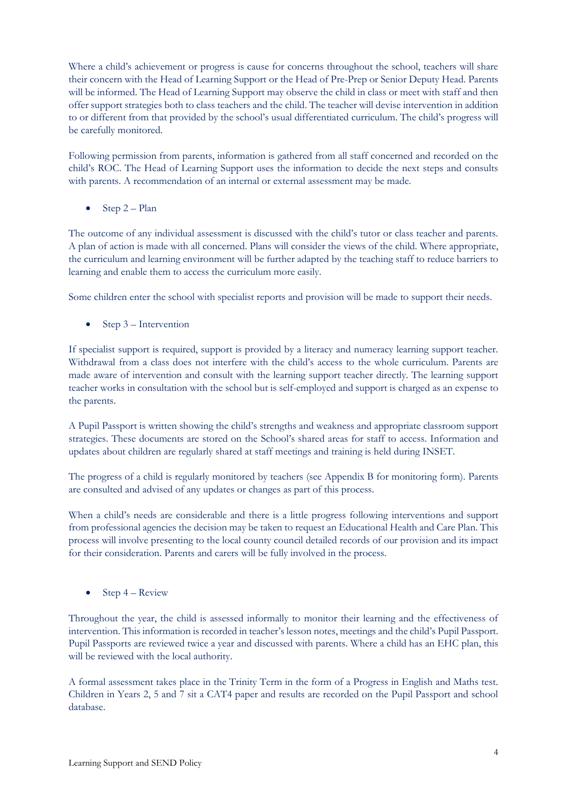Where a child's achievement or progress is cause for concerns throughout the school, teachers will share their concern with the Head of Learning Support or the Head of Pre-Prep or Senior Deputy Head. Parents will be informed. The Head of Learning Support may observe the child in class or meet with staff and then offer support strategies both to class teachers and the child. The teacher will devise intervention in addition to or different from that provided by the school's usual differentiated curriculum. The child's progress will be carefully monitored.

Following permission from parents, information is gathered from all staff concerned and recorded on the child's ROC. The Head of Learning Support uses the information to decide the next steps and consults with parents. A recommendation of an internal or external assessment may be made.

• Step 2 – Plan

The outcome of any individual assessment is discussed with the child's tutor or class teacher and parents. A plan of action is made with all concerned. Plans will consider the views of the child. Where appropriate, the curriculum and learning environment will be further adapted by the teaching staff to reduce barriers to learning and enable them to access the curriculum more easily.

Some children enter the school with specialist reports and provision will be made to support their needs.

• Step  $3$  – Intervention

If specialist support is required, support is provided by a literacy and numeracy learning support teacher. Withdrawal from a class does not interfere with the child's access to the whole curriculum. Parents are made aware of intervention and consult with the learning support teacher directly. The learning support teacher works in consultation with the school but is self-employed and support is charged as an expense to the parents.

A Pupil Passport is written showing the child's strengths and weakness and appropriate classroom support strategies. These documents are stored on the School's shared areas for staff to access. Information and updates about children are regularly shared at staff meetings and training is held during INSET.

The progress of a child is regularly monitored by teachers (see Appendix B for monitoring form). Parents are consulted and advised of any updates or changes as part of this process.

When a child's needs are considerable and there is a little progress following interventions and support from professional agencies the decision may be taken to request an Educational Health and Care Plan. This process will involve presenting to the local county council detailed records of our provision and its impact for their consideration. Parents and carers will be fully involved in the process.

• Step  $4 -$  Review

Throughout the year, the child is assessed informally to monitor their learning and the effectiveness of intervention. This information is recorded in teacher's lesson notes, meetings and the child's Pupil Passport. Pupil Passports are reviewed twice a year and discussed with parents. Where a child has an EHC plan, this will be reviewed with the local authority.

A formal assessment takes place in the Trinity Term in the form of a Progress in English and Maths test. Children in Years 2, 5 and 7 sit a CAT4 paper and results are recorded on the Pupil Passport and school database.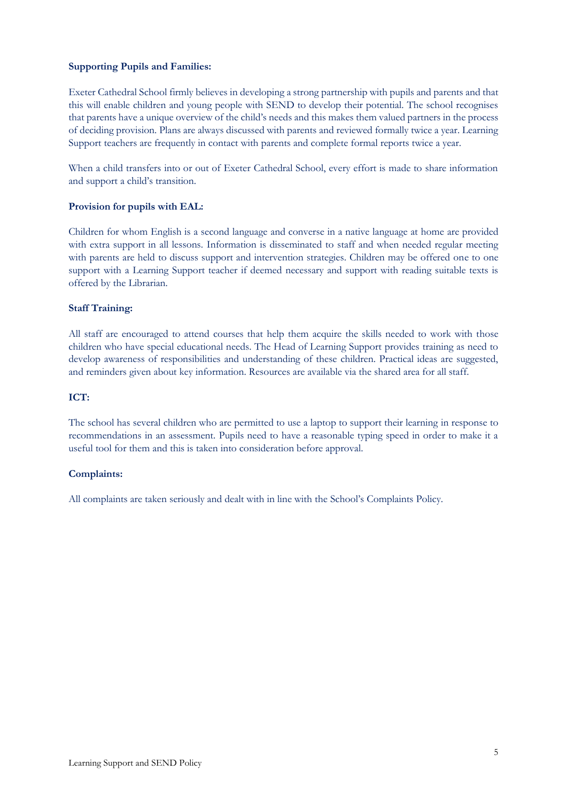### **Supporting Pupils and Families:**

Exeter Cathedral School firmly believes in developing a strong partnership with pupils and parents and that this will enable children and young people with SEND to develop their potential. The school recognises that parents have a unique overview of the child's needs and this makes them valued partners in the process of deciding provision. Plans are always discussed with parents and reviewed formally twice a year. Learning Support teachers are frequently in contact with parents and complete formal reports twice a year.

When a child transfers into or out of Exeter Cathedral School, every effort is made to share information and support a child's transition.

#### **Provision for pupils with EAL:**

Children for whom English is a second language and converse in a native language at home are provided with extra support in all lessons. Information is disseminated to staff and when needed regular meeting with parents are held to discuss support and intervention strategies. Children may be offered one to one support with a Learning Support teacher if deemed necessary and support with reading suitable texts is offered by the Librarian.

#### **Staff Training:**

All staff are encouraged to attend courses that help them acquire the skills needed to work with those children who have special educational needs. The Head of Learning Support provides training as need to develop awareness of responsibilities and understanding of these children. Practical ideas are suggested, and reminders given about key information. Resources are available via the shared area for all staff.

### **ICT:**

The school has several children who are permitted to use a laptop to support their learning in response to recommendations in an assessment. Pupils need to have a reasonable typing speed in order to make it a useful tool for them and this is taken into consideration before approval.

#### **Complaints:**

All complaints are taken seriously and dealt with in line with the School's Complaints Policy.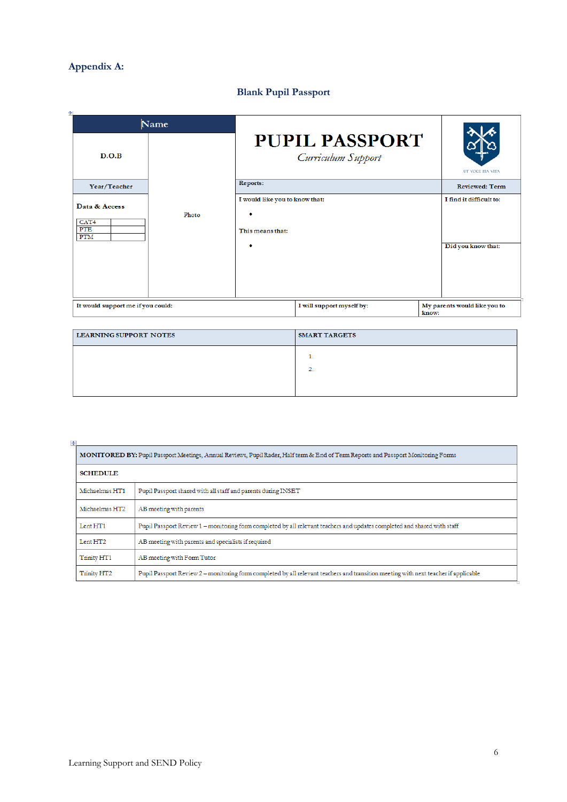# **Appendix A:**

# **Blank Pupil Passport**

| ÷<br>Name                                              |       |                                                    |                           |       |                                               |  |
|--------------------------------------------------------|-------|----------------------------------------------------|---------------------------|-------|-----------------------------------------------|--|
| D.O.B                                                  |       | <b>PUPIL PASSPORT</b><br>Curriculum Support        |                           |       | UT VOCE ITA VITA                              |  |
| Year/Teacher                                           | Photo | Reports:                                           |                           |       | <b>Reviewed: Term</b>                         |  |
| Data & Access<br>CAT <sub>4</sub><br><b>PTE</b><br>PTM |       | I would like you to know that:<br>This means that: |                           |       | I find it difficult to:<br>Did you know that: |  |
| It would support me if you could:                      |       |                                                    | I will support myself by: | know: | My parents would like you to                  |  |

| <b>LEARNING SUPPORT NOTES</b> | <b>SMART TARGETS</b> |
|-------------------------------|----------------------|
|                               |                      |
|                               |                      |
|                               |                      |

| $+$                                                                                                                               |                                                                                                                                     |  |  |  |  |
|-----------------------------------------------------------------------------------------------------------------------------------|-------------------------------------------------------------------------------------------------------------------------------------|--|--|--|--|
| MONITORED BY: Pupil Passport Meetings, Annual Reviews, Pupil Rader, Half term & End of Term Reports and Passport Monitoring Forms |                                                                                                                                     |  |  |  |  |
| <b>SCHEDULE</b>                                                                                                                   |                                                                                                                                     |  |  |  |  |
| Michaelmas HT1                                                                                                                    | Pupil Passport shared with all staff and parents during INSET                                                                       |  |  |  |  |
| Michaelmas HT2                                                                                                                    | AB meeting with parents                                                                                                             |  |  |  |  |
| Lent HT1                                                                                                                          | Pupil Passport Review 1 - monitoring form completed by all relevant teachers and updates completed and shared with staff            |  |  |  |  |
| Lent HT <sub>2</sub>                                                                                                              | AB meeting with parents and specialists if required                                                                                 |  |  |  |  |
| Trinity HT1                                                                                                                       | AB meeting with Form Tutor                                                                                                          |  |  |  |  |
| Trinity HT <sub>2</sub>                                                                                                           | Pupil Passport Review 2 – monitoring form completed by all relevant teachers and transition meeting with next teacher if applicable |  |  |  |  |